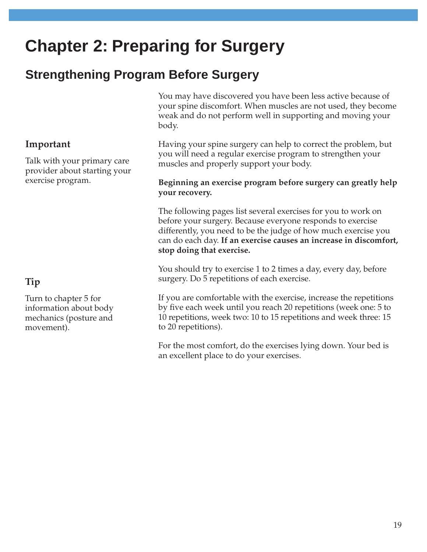# **Chapter 2: Preparing for Surgery**

# **Strengthening Program Before Surgery**

#### **Important**

Talk with your primary care provider about starting your exercise program.

### **Tip**

Turn to chapter 5 for information about body mechanics (posture and movement).

You may have discovered you have been less active because of your spine discomfort. When muscles are not used, they become weak and do not perform well in supporting and moving your body.

Having your spine surgery can help to correct the problem, but you will need a regular exercise program to strengthen your muscles and properly support your body.

#### **Beginning an exercise program before surgery can greatly help your recovery.**

The following pages list several exercises for you to work on before your surgery. Because everyone responds to exercise differently, you need to be the judge of how much exercise you can do each day. **If an exercise causes an increase in discomfort, stop doing that exercise.**

You should try to exercise 1 to 2 times a day, every day, before surgery. Do 5 repetitions of each exercise.

If you are comfortable with the exercise, increase the repetitions by five each week until you reach 20 repetitions (week one: 5 to 10 repetitions, week two: 10 to 15 repetitions and week three: 15 to 20 repetitions).

For the most comfort, do the exercises lying down. Your bed is an excellent place to do your exercises.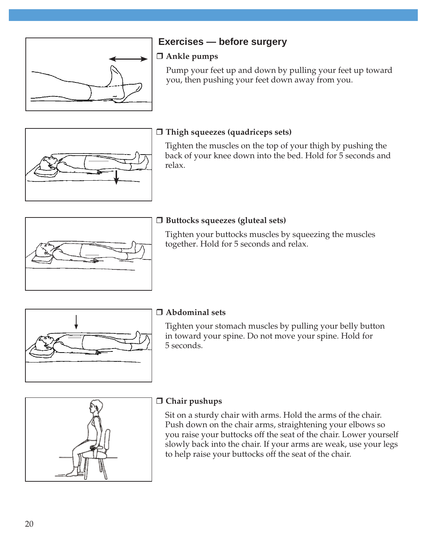

## **Exercises — before surgery**

#### **Ankle pumps**

Pump your feet up and down by pulling your feet up toward you, then pushing your feet down away from you.



#### **Thigh squeezes (quadriceps sets)**

Tighten the muscles on the top of your thigh by pushing the back of your knee down into the bed. Hold for 5 seconds and relax.



### **Buttocks squeezes (gluteal sets)**

Tighten your buttocks muscles by squeezing the muscles together. Hold for 5 seconds and relax.



### **Abdominal sets**

Tighten your stomach muscles by pulling your belly button in toward your spine. Do not move your spine. Hold for 5 seconds.



#### **Chair pushups**

Sit on a sturdy chair with arms. Hold the arms of the chair. Push down on the chair arms, straightening your elbows so you raise your buttocks off the seat of the chair. Lower yourself slowly back into the chair. If your arms are weak, use your legs to help raise your buttocks off the seat of the chair.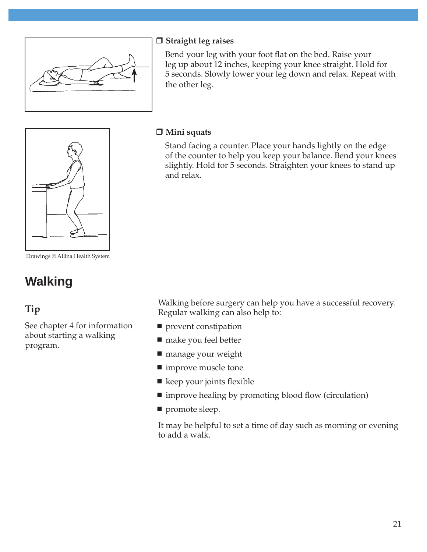

#### **Straight leg raises**

Bend your leg with your foot flat on the bed. Raise your leg up about 12 inches, keeping your knee straight. Hold for 5 seconds. Slowly lower your leg down and relax. Repeat with the other leg.



Drawings © Allina Health System

# **Walking**

## **Tip**

See chapter 4 for information about starting a walking program.

#### **Mini squats**

Stand facing a counter. Place your hands lightly on the edge of the counter to help you keep your balance. Bend your knees slightly. Hold for 5 seconds. Straighten your knees to stand up and relax.

Walking before surgery can help you have a successful recovery. Regular walking can also help to:

- **prevent constipation**
- make you feel better
- manage your weight
- improve muscle tone
- $\blacksquare$  keep your joints flexible
- improve healing by promoting blood flow (circulation)
- promote sleep.

It may be helpful to set a time of day such as morning or evening to add a walk.